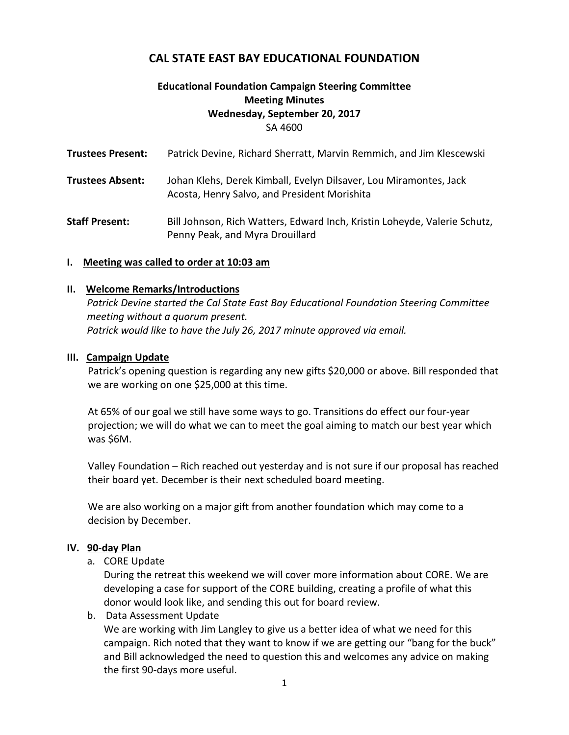# **CAL STATE EAST BAY EDUCATIONAL FOUNDATION**

## **Educational Foundation Campaign Steering Committee Meeting Minutes Wednesday, September 20, 2017** SA 4600

| <b>Trustees Present:</b> | Patrick Devine, Richard Sherratt, Marvin Remmich, and Jim Klescewski                                              |
|--------------------------|-------------------------------------------------------------------------------------------------------------------|
| <b>Trustees Absent:</b>  | Johan Klehs, Derek Kimball, Evelyn Dilsaver, Lou Miramontes, Jack<br>Acosta, Henry Salvo, and President Morishita |
| <b>Staff Present:</b>    | Bill Johnson, Rich Watters, Edward Inch, Kristin Loheyde, Valerie Schutz,<br>Penny Peak, and Myra Drouillard      |

#### **I. Meeting was called to order at 10:03 am**

#### **II. Welcome Remarks/Introductions**

*Patrick Devine started the Cal State East Bay Educational Foundation Steering Committee meeting without a quorum present. Patrick would like to have the July 26, 2017 minute approved via email.*

#### **III. Campaign Update**

Patrick's opening question is regarding any new gifts \$20,000 or above. Bill responded that we are working on one \$25,000 at this time.

At 65% of our goal we still have some ways to go. Transitions do effect our four-year projection; we will do what we can to meet the goal aiming to match our best year which was \$6M.

Valley Foundation – Rich reached out yesterday and is not sure if our proposal has reached their board yet. December is their next scheduled board meeting.

We are also working on a major gift from another foundation which may come to a decision by December.

#### **IV. 90-day Plan**

a. CORE Update

During the retreat this weekend we will cover more information about CORE. We are developing a case for support of the CORE building, creating a profile of what this donor would look like, and sending this out for board review.

b. Data Assessment Update

We are working with Jim Langley to give us a better idea of what we need for this campaign. Rich noted that they want to know if we are getting our "bang for the buck" and Bill acknowledged the need to question this and welcomes any advice on making the first 90-days more useful.